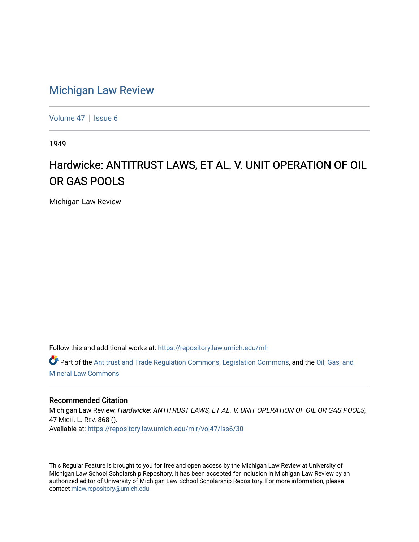# [Michigan Law Review](https://repository.law.umich.edu/mlr)

[Volume 47](https://repository.law.umich.edu/mlr/vol47) | [Issue 6](https://repository.law.umich.edu/mlr/vol47/iss6)

1949

# Hardwicke: ANTITRUST LAWS, ET AL. V. UNIT OPERATION OF OIL OR GAS POOLS

Michigan Law Review

Follow this and additional works at: [https://repository.law.umich.edu/mlr](https://repository.law.umich.edu/mlr?utm_source=repository.law.umich.edu%2Fmlr%2Fvol47%2Fiss6%2F30&utm_medium=PDF&utm_campaign=PDFCoverPages) 

Part of the [Antitrust and Trade Regulation Commons,](http://network.bepress.com/hgg/discipline/911?utm_source=repository.law.umich.edu%2Fmlr%2Fvol47%2Fiss6%2F30&utm_medium=PDF&utm_campaign=PDFCoverPages) [Legislation Commons](http://network.bepress.com/hgg/discipline/859?utm_source=repository.law.umich.edu%2Fmlr%2Fvol47%2Fiss6%2F30&utm_medium=PDF&utm_campaign=PDFCoverPages), and the [Oil, Gas, and](http://network.bepress.com/hgg/discipline/864?utm_source=repository.law.umich.edu%2Fmlr%2Fvol47%2Fiss6%2F30&utm_medium=PDF&utm_campaign=PDFCoverPages)  [Mineral Law Commons](http://network.bepress.com/hgg/discipline/864?utm_source=repository.law.umich.edu%2Fmlr%2Fvol47%2Fiss6%2F30&utm_medium=PDF&utm_campaign=PDFCoverPages)

## Recommended Citation

Michigan Law Review, Hardwicke: ANTITRUST LAWS, ET AL. V. UNIT OPERATION OF OIL OR GAS POOLS, 47 MICH. L. REV. 868 (). Available at: [https://repository.law.umich.edu/mlr/vol47/iss6/30](https://repository.law.umich.edu/mlr/vol47/iss6/30?utm_source=repository.law.umich.edu%2Fmlr%2Fvol47%2Fiss6%2F30&utm_medium=PDF&utm_campaign=PDFCoverPages) 

This Regular Feature is brought to you for free and open access by the Michigan Law Review at University of Michigan Law School Scholarship Repository. It has been accepted for inclusion in Michigan Law Review by an authorized editor of University of Michigan Law School Scholarship Repository. For more information, please contact [mlaw.repository@umich.edu](mailto:mlaw.repository@umich.edu).